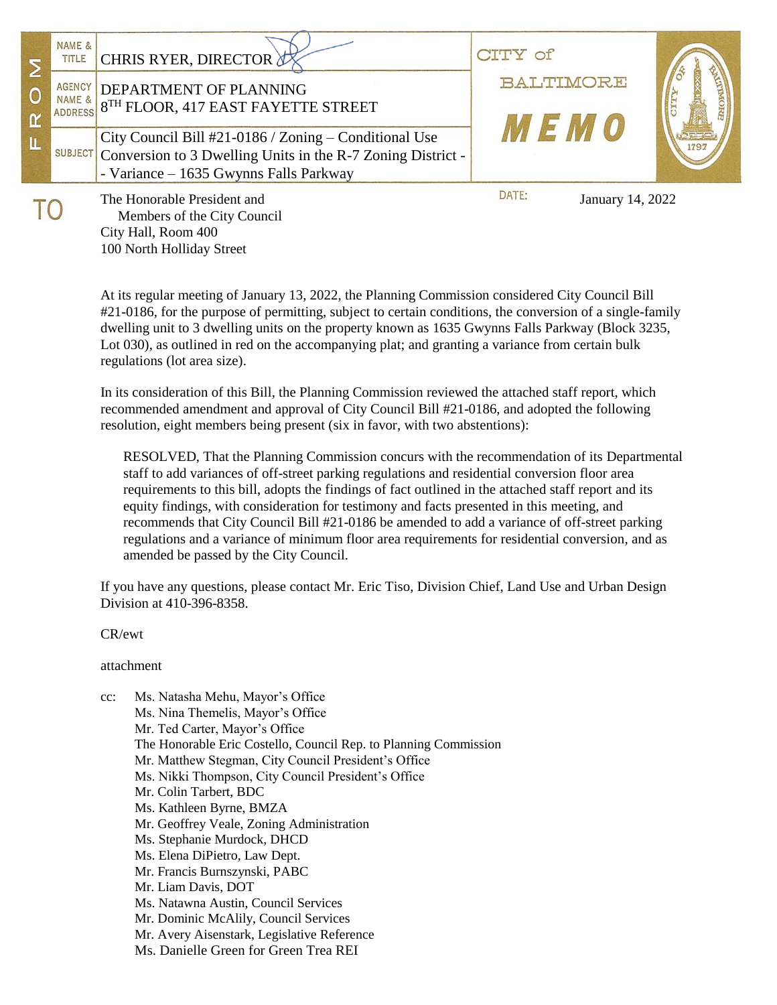|  | NAME &<br>TITLE<br><b>AGENCY</b><br>NAME & | CHRIS RYER, DIRECTOR $\not\!\!\!\!/\,\,$<br>DEPARTMENT OF PLANNING<br><b>ADDRESS</b> 8 <sup>TH</sup> FLOOR, 417 EAST FAYETTE STREET                                                            | $\bigcirc$ <sup>+</sup><br>BALTIMORE |  |
|--|--------------------------------------------|------------------------------------------------------------------------------------------------------------------------------------------------------------------------------------------------|--------------------------------------|--|
|  |                                            | City Council Bill #21-0186 / Zoning – Conditional Use<br>$\frac{\text{SUBJECT}}{\text{Conversion to 3 Dwelling Units in the R-7 Zoning District -}}$<br>- Variance – 1635 Gwynns Falls Parkway | 712470                               |  |
|  |                                            | The Honorable President and<br>Members of the City Council                                                                                                                                     | DATE:<br>January 14, 2022            |  |

 Members of the City Council City Hall, Room 400 100 North Holliday Street

At its regular meeting of January 13, 2022, the Planning Commission considered City Council Bill #21-0186, for the purpose of permitting, subject to certain conditions, the conversion of a single-family dwelling unit to 3 dwelling units on the property known as 1635 Gwynns Falls Parkway (Block 3235, Lot 030), as outlined in red on the accompanying plat; and granting a variance from certain bulk regulations (lot area size).

In its consideration of this Bill, the Planning Commission reviewed the attached staff report, which recommended amendment and approval of City Council Bill #21-0186, and adopted the following resolution, eight members being present (six in favor, with two abstentions):

RESOLVED, That the Planning Commission concurs with the recommendation of its Departmental staff to add variances of off-street parking regulations and residential conversion floor area requirements to this bill, adopts the findings of fact outlined in the attached staff report and its equity findings, with consideration for testimony and facts presented in this meeting, and recommends that City Council Bill #21-0186 be amended to add a variance of off-street parking regulations and a variance of minimum floor area requirements for residential conversion, and as amended be passed by the City Council.

If you have any questions, please contact Mr. Eric Tiso, Division Chief, Land Use and Urban Design Division at 410-396-8358.

CR/ewt

attachment

| $cc$ : | Ms. Natasha Mehu, Mayor's Office                                 |  |  |  |
|--------|------------------------------------------------------------------|--|--|--|
|        | Ms. Nina Themelis, Mayor's Office                                |  |  |  |
|        | Mr. Ted Carter, Mayor's Office                                   |  |  |  |
|        | The Honorable Eric Costello, Council Rep. to Planning Commission |  |  |  |
|        | Mr. Matthew Stegman, City Council President's Office             |  |  |  |
|        | Ms. Nikki Thompson, City Council President's Office              |  |  |  |
|        | Mr. Colin Tarbert, BDC                                           |  |  |  |
|        | Ms. Kathleen Byrne, BMZA                                         |  |  |  |
|        | Mr. Geoffrey Veale, Zoning Administration                        |  |  |  |
|        | Ms. Stephanie Murdock, DHCD                                      |  |  |  |
|        | Ms. Elena DiPietro, Law Dept.                                    |  |  |  |
|        | Mr. Francis Burnszynski, PABC                                    |  |  |  |
|        | Mr. Liam Davis, DOT                                              |  |  |  |
|        | Ms. Natawna Austin, Council Services                             |  |  |  |
|        | Mr. Dominic McAlily, Council Services                            |  |  |  |
|        | Mr. Avery Aisenstark, Legislative Reference                      |  |  |  |
|        | Ms. Danielle Green for Green Trea REI                            |  |  |  |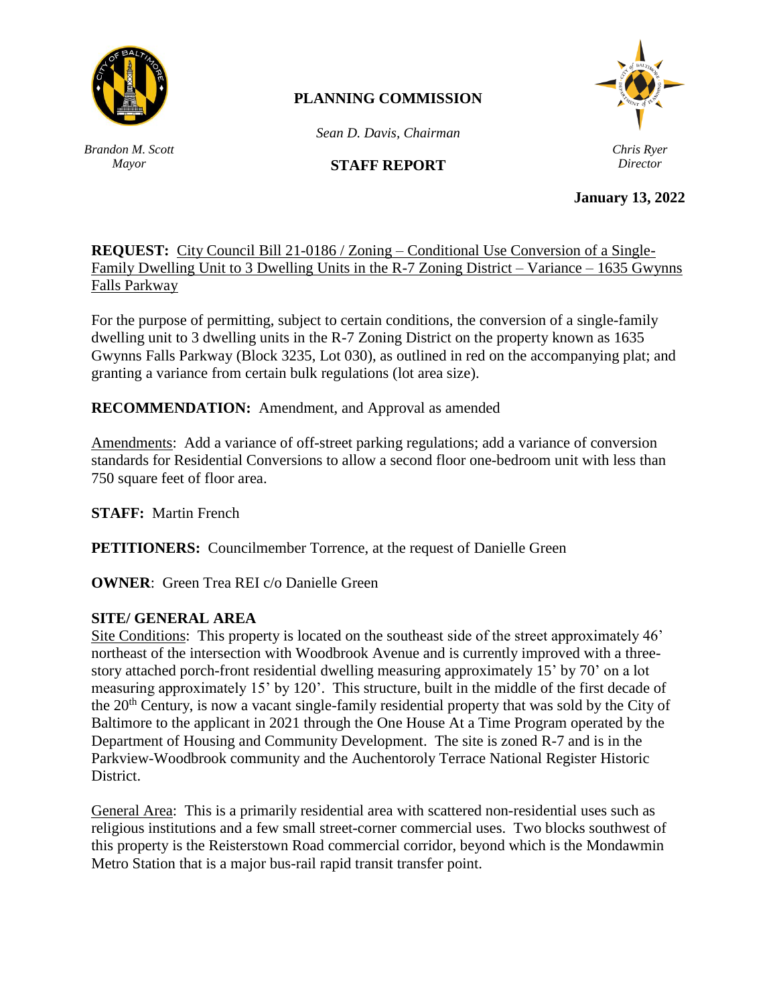

# **PLANNING COMMISSION**

*Sean D. Davis, Chairman*

# **STAFF REPORT**

*Chris Ryer Director*

**January 13, 2022**

**REQUEST:** City Council Bill 21-0186 / Zoning – Conditional Use Conversion of a Single-Family Dwelling Unit to 3 Dwelling Units in the R-7 Zoning District – Variance – 1635 Gwynns Falls Parkway

For the purpose of permitting, subject to certain conditions, the conversion of a single-family dwelling unit to 3 dwelling units in the R-7 Zoning District on the property known as 1635 Gwynns Falls Parkway (Block 3235, Lot 030), as outlined in red on the accompanying plat; and granting a variance from certain bulk regulations (lot area size).

**RECOMMENDATION:** Amendment, and Approval as amended

Amendments: Add a variance of off-street parking regulations; add a variance of conversion standards for Residential Conversions to allow a second floor one-bedroom unit with less than 750 square feet of floor area.

**STAFF:** Martin French

**PETITIONERS:** Councilmember Torrence, at the request of Danielle Green

**OWNER:** Green Trea REI c/o Danielle Green

#### **SITE/ GENERAL AREA**

Site Conditions: This property is located on the southeast side of the street approximately 46' northeast of the intersection with Woodbrook Avenue and is currently improved with a threestory attached porch-front residential dwelling measuring approximately 15' by 70' on a lot measuring approximately 15' by 120'. This structure, built in the middle of the first decade of the 20<sup>th</sup> Century, is now a vacant single-family residential property that was sold by the City of Baltimore to the applicant in 2021 through the One House At a Time Program operated by the Department of Housing and Community Development. The site is zoned R-7 and is in the Parkview-Woodbrook community and the Auchentoroly Terrace National Register Historic District.

General Area: This is a primarily residential area with scattered non-residential uses such as religious institutions and a few small street-corner commercial uses. Two blocks southwest of this property is the Reisterstown Road commercial corridor, beyond which is the Mondawmin Metro Station that is a major bus-rail rapid transit transfer point.

*Brandon M. Scott Mayor*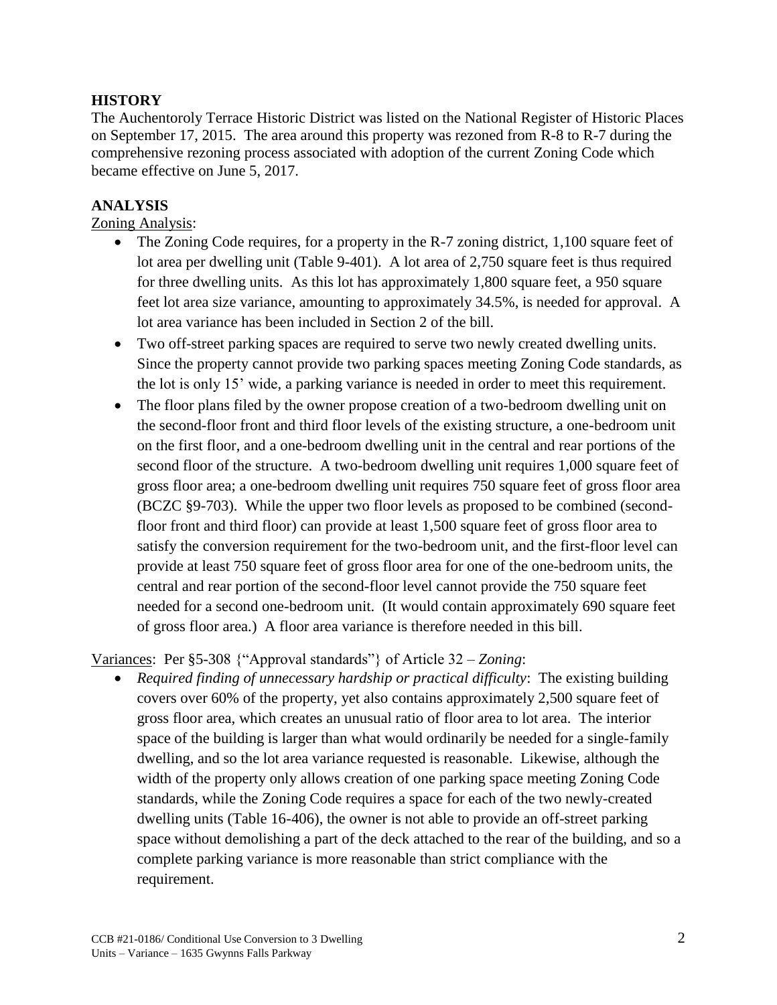### **HISTORY**

The Auchentoroly Terrace Historic District was listed on the National Register of Historic Places on September 17, 2015. The area around this property was rezoned from R-8 to R-7 during the comprehensive rezoning process associated with adoption of the current Zoning Code which became effective on June 5, 2017.

# **ANALYSIS**

Zoning Analysis:

- The Zoning Code requires, for a property in the R-7 zoning district, 1,100 square feet of lot area per dwelling unit (Table 9-401). A lot area of 2,750 square feet is thus required for three dwelling units. As this lot has approximately 1,800 square feet, a 950 square feet lot area size variance, amounting to approximately 34.5%, is needed for approval. A lot area variance has been included in Section 2 of the bill.
- Two off-street parking spaces are required to serve two newly created dwelling units. Since the property cannot provide two parking spaces meeting Zoning Code standards, as the lot is only 15' wide, a parking variance is needed in order to meet this requirement.
- The floor plans filed by the owner propose creation of a two-bedroom dwelling unit on the second-floor front and third floor levels of the existing structure, a one-bedroom unit on the first floor, and a one-bedroom dwelling unit in the central and rear portions of the second floor of the structure. A two-bedroom dwelling unit requires 1,000 square feet of gross floor area; a one-bedroom dwelling unit requires 750 square feet of gross floor area (BCZC §9-703). While the upper two floor levels as proposed to be combined (secondfloor front and third floor) can provide at least 1,500 square feet of gross floor area to satisfy the conversion requirement for the two-bedroom unit, and the first-floor level can provide at least 750 square feet of gross floor area for one of the one-bedroom units, the central and rear portion of the second-floor level cannot provide the 750 square feet needed for a second one-bedroom unit. (It would contain approximately 690 square feet of gross floor area.) A floor area variance is therefore needed in this bill.

### Variances: Per §5-308 {"Approval standards"} of Article 32 – *Zoning*:

• *Required finding of unnecessary hardship or practical difficulty*: The existing building covers over 60% of the property, yet also contains approximately 2,500 square feet of gross floor area, which creates an unusual ratio of floor area to lot area. The interior space of the building is larger than what would ordinarily be needed for a single-family dwelling, and so the lot area variance requested is reasonable. Likewise, although the width of the property only allows creation of one parking space meeting Zoning Code standards, while the Zoning Code requires a space for each of the two newly-created dwelling units (Table 16-406), the owner is not able to provide an off-street parking space without demolishing a part of the deck attached to the rear of the building, and so a complete parking variance is more reasonable than strict compliance with the requirement.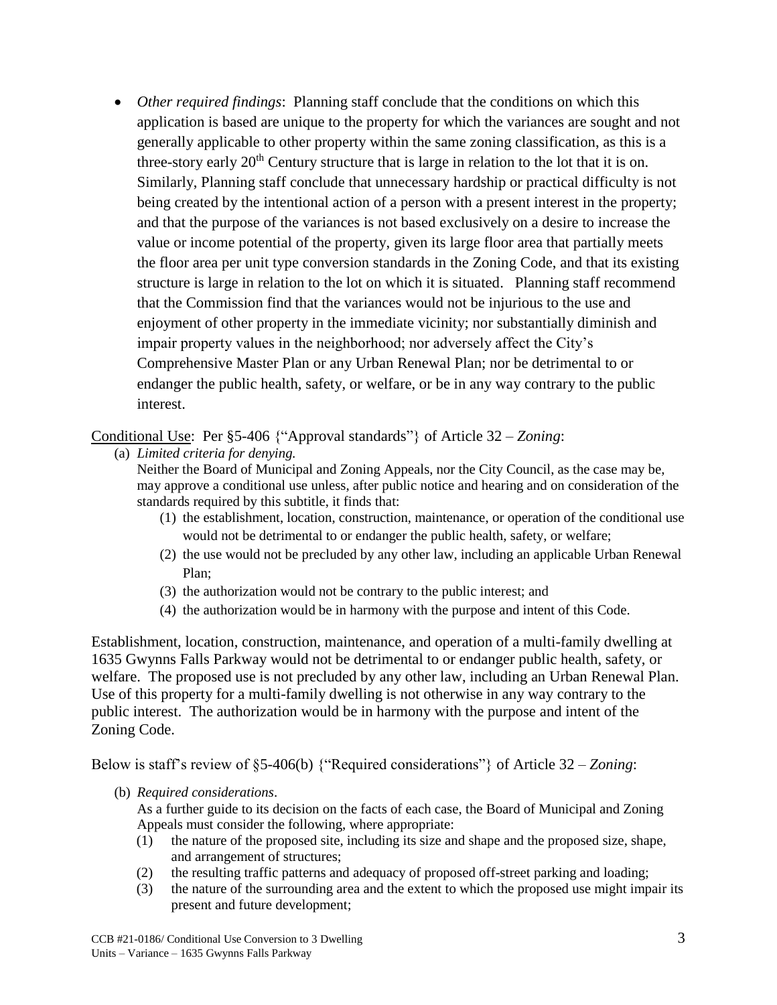• *Other required findings*: Planning staff conclude that the conditions on which this application is based are unique to the property for which the variances are sought and not generally applicable to other property within the same zoning classification, as this is a three-story early  $20<sup>th</sup>$  Century structure that is large in relation to the lot that it is on. Similarly, Planning staff conclude that unnecessary hardship or practical difficulty is not being created by the intentional action of a person with a present interest in the property; and that the purpose of the variances is not based exclusively on a desire to increase the value or income potential of the property, given its large floor area that partially meets the floor area per unit type conversion standards in the Zoning Code, and that its existing structure is large in relation to the lot on which it is situated. Planning staff recommend that the Commission find that the variances would not be injurious to the use and enjoyment of other property in the immediate vicinity; nor substantially diminish and impair property values in the neighborhood; nor adversely affect the City's Comprehensive Master Plan or any Urban Renewal Plan; nor be detrimental to or endanger the public health, safety, or welfare, or be in any way contrary to the public interest.

Conditional Use: Per §5-406 {"Approval standards"} of Article 32 – *Zoning*:

(a) *Limited criteria for denying.*

Neither the Board of Municipal and Zoning Appeals, nor the City Council, as the case may be, may approve a conditional use unless, after public notice and hearing and on consideration of the standards required by this subtitle, it finds that:

- (1) the establishment, location, construction, maintenance, or operation of the conditional use would not be detrimental to or endanger the public health, safety, or welfare;
- (2) the use would not be precluded by any other law, including an applicable Urban Renewal Plan;
- (3) the authorization would not be contrary to the public interest; and
- (4) the authorization would be in harmony with the purpose and intent of this Code.

Establishment, location, construction, maintenance, and operation of a multi-family dwelling at 1635 Gwynns Falls Parkway would not be detrimental to or endanger public health, safety, or welfare. The proposed use is not precluded by any other law, including an Urban Renewal Plan. Use of this property for a multi-family dwelling is not otherwise in any way contrary to the public interest. The authorization would be in harmony with the purpose and intent of the Zoning Code.

Below is staff's review of §5-406(b) {"Required considerations"} of Article 32 – *Zoning*:

(b) *Required considerations*.

As a further guide to its decision on the facts of each case, the Board of Municipal and Zoning Appeals must consider the following, where appropriate:

- (1) the nature of the proposed site, including its size and shape and the proposed size, shape, and arrangement of structures;
- (2) the resulting traffic patterns and adequacy of proposed off-street parking and loading;
- (3) the nature of the surrounding area and the extent to which the proposed use might impair its present and future development;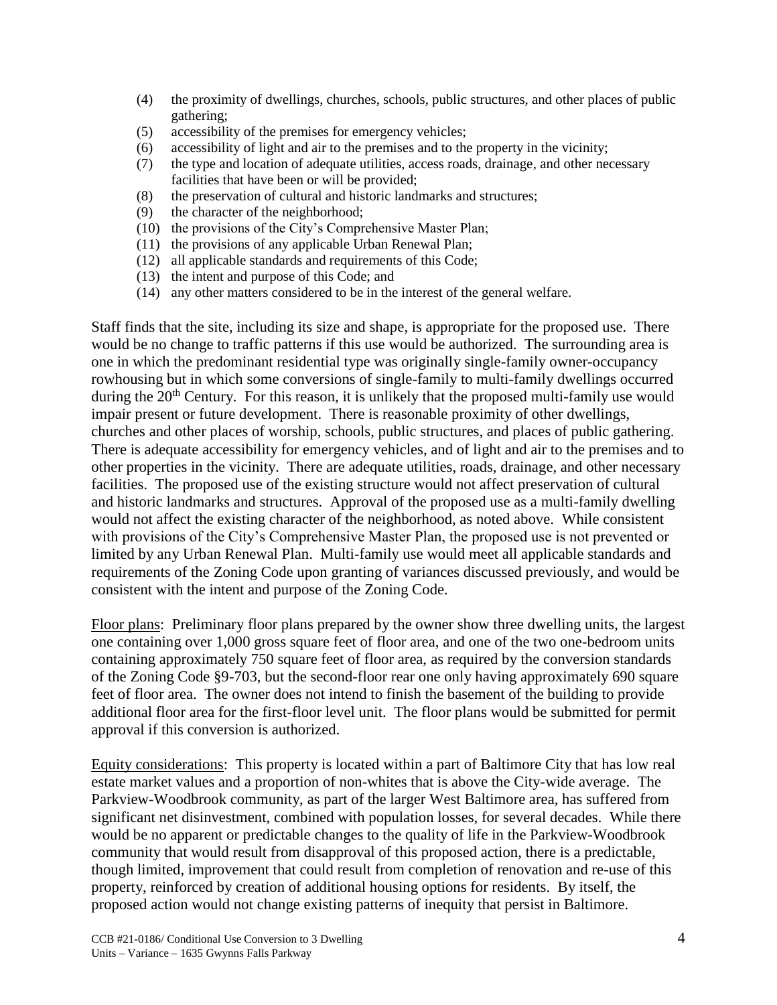- (4) the proximity of dwellings, churches, schools, public structures, and other places of public gathering;
- (5) accessibility of the premises for emergency vehicles;
- (6) accessibility of light and air to the premises and to the property in the vicinity;
- (7) the type and location of adequate utilities, access roads, drainage, and other necessary facilities that have been or will be provided;
- (8) the preservation of cultural and historic landmarks and structures;
- (9) the character of the neighborhood;
- (10) the provisions of the City's Comprehensive Master Plan;
- (11) the provisions of any applicable Urban Renewal Plan;
- (12) all applicable standards and requirements of this Code;
- (13) the intent and purpose of this Code; and
- (14) any other matters considered to be in the interest of the general welfare.

Staff finds that the site, including its size and shape, is appropriate for the proposed use. There would be no change to traffic patterns if this use would be authorized. The surrounding area is one in which the predominant residential type was originally single-family owner-occupancy rowhousing but in which some conversions of single-family to multi-family dwellings occurred during the  $20<sup>th</sup>$  Century. For this reason, it is unlikely that the proposed multi-family use would impair present or future development. There is reasonable proximity of other dwellings, churches and other places of worship, schools, public structures, and places of public gathering. There is adequate accessibility for emergency vehicles, and of light and air to the premises and to other properties in the vicinity. There are adequate utilities, roads, drainage, and other necessary facilities. The proposed use of the existing structure would not affect preservation of cultural and historic landmarks and structures. Approval of the proposed use as a multi-family dwelling would not affect the existing character of the neighborhood, as noted above. While consistent with provisions of the City's Comprehensive Master Plan, the proposed use is not prevented or limited by any Urban Renewal Plan. Multi-family use would meet all applicable standards and requirements of the Zoning Code upon granting of variances discussed previously, and would be consistent with the intent and purpose of the Zoning Code.

Floor plans: Preliminary floor plans prepared by the owner show three dwelling units, the largest one containing over 1,000 gross square feet of floor area, and one of the two one-bedroom units containing approximately 750 square feet of floor area, as required by the conversion standards of the Zoning Code §9-703, but the second-floor rear one only having approximately 690 square feet of floor area. The owner does not intend to finish the basement of the building to provide additional floor area for the first-floor level unit. The floor plans would be submitted for permit approval if this conversion is authorized.

Equity considerations: This property is located within a part of Baltimore City that has low real estate market values and a proportion of non-whites that is above the City-wide average. The Parkview-Woodbrook community, as part of the larger West Baltimore area, has suffered from significant net disinvestment, combined with population losses, for several decades. While there would be no apparent or predictable changes to the quality of life in the Parkview-Woodbrook community that would result from disapproval of this proposed action, there is a predictable, though limited, improvement that could result from completion of renovation and re-use of this property, reinforced by creation of additional housing options for residents. By itself, the proposed action would not change existing patterns of inequity that persist in Baltimore.